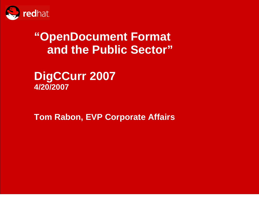

# **"OpenDocument Format and the Public Sector"**

**DigCCurr 2007 4/20/2007**

**Tom Rabon, EVP Corporate Affairs**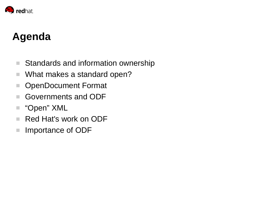

# **Agenda**

- T. Standards and information ownership
- $\mathcal{L}_{\mathcal{A}}$ What makes a standard open?
- **The** OpenDocument Format
- Governments and ODF
- "Open" XML
- $\mathcal{L}_{\mathcal{A}}$ Red Hat's work on ODF
- **I** Importance of ODF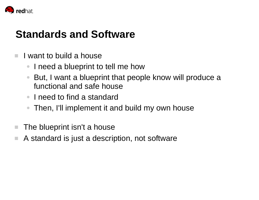

### **Standards and Software**

- m. I want to build a house
	- $\bullet$ I need a blueprint to tell me how
	- ● But, I want a blueprint that people know will produce a functional and safe house
	- I need to find a standard
	- ●Then, I'll implement it and build my own house
- $\mathcal{L}_{\mathcal{A}}$ The blueprint isn't a house
- P. A standard is just a description, not software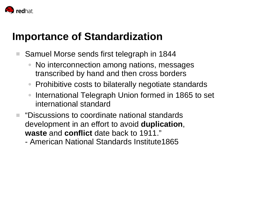

## **Importance of Standardization**

- Samuel Morse sends first telegraph in 1844
	- ● No interconnection among nations, messages transcribed by hand and then cross borders
	- $\bullet$ Prohibitive costs to bilaterally negotiate standards
	- $\bullet$  International Telegraph Union formed in 1865 to set international standard
- $\blacksquare$  "Discussions to coordinate national standards development in an effort to avoid **duplication**, **waste** and **conflict** date back to 1911."
	- American National Standards Institute1865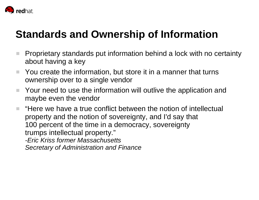

# **Standards and Ownership of Information**

- × Proprietary standards put information behind a lock with no certainty about having a key
- $\mathbb{R}^n$  You create the information, but store it in a manner that turns ownership over to a single vendor
- $\mathcal{L}_{\mathcal{A}}$  Your need to use the information will outlive the application and maybe even the vendor

**COL**  "Here we have a true conflict between the notion of intellectual property and the notion of sovereignty, and I'd say that 100 percent of the time in a democracy, sovereignty trumps intellectual property." *-Eric Kriss former Massachusetts Secretary of Administration and Finance*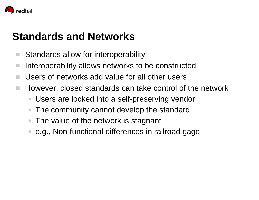

### **Standards and Networks**

- a i Standards allow for interoperability
- $\mathcal{L}_{\mathcal{A}}$ Interoperability allows networks to be constructed
- m. Users of networks add value for all other users
- $\mathcal{L}_{\mathcal{A}}$  However, closed standards can take control of the network
	- ●Users are locked into a self-preserving vendor
	- $\bullet$ The community cannot develop the standard
	- ●The value of the network is stagnant
	- $\bullet$ e.g., Non-functional differences in railroad gage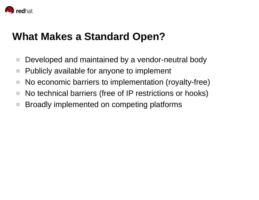

### **What Makes a Standard Open?**

- a. Developed and maintained by a vendor-neutral body
- $\mathcal{L}_{\mathcal{A}}$ Publicly available for anyone to implement
- a. No economic barriers to implementation (royalty-free)
- × No technical barriers (free of IP restrictions or hooks)
- $\mathcal{L}_{\mathcal{A}}$ Broadly implemented on competing platforms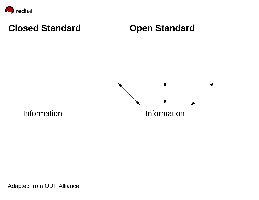

### **Closed Standard**

### **Open Standard**



Information

Adapted from ODF Alliance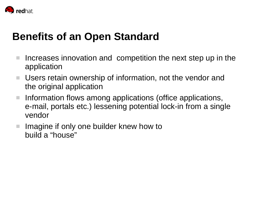

### **Benefits of an Open Standard**

- $\mathcal{L}_{\mathcal{A}}$  Increases innovation and competition the next step up in the application
- Users retain ownership of information, not the vendor and the original application
- $\mathcal{L}^{\mathcal{L}}$  Information flows among applications (office applications, e-mail, portals etc.) lessening potential lock-in from a single vendor
- **College**  Imagine if only one builder knew how to build a "house"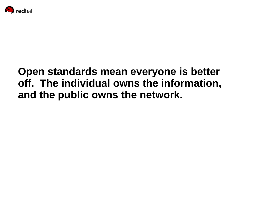

# **Open standards mean everyone is better off. The individual owns the information, and the public owns the network.**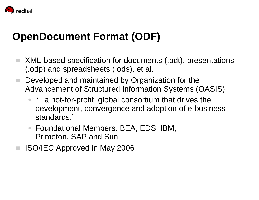

# **OpenDocument Format (ODF)**

- a a XML-based specification for documents (.odt), presentations (.odp) and spreadsheets (.ods), et al.
- a ka Developed and maintained by Organization for the Advancement of Structured Information Systems (OASIS)
	- "…a not-for-profit, global consortium that drives the development, convergence and adoption of e-business standards."
	- $\bullet$  Foundational Members: BEA, EDS, IBM, Primeton, SAP and Sun
- ISO/IEC Approved in May 2006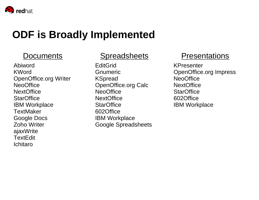

### **ODF is Broadly Implemented**

#### Documents

AbiwordKWordOpenOffice.org Writer **NeoOffice NextOffice StarOffice** IBM Workplace **TextMaker** Google Docs Zoho WriterajaxWrite **TextEdit** Ichitaro

#### **Spreadsheets**

**EditGrid** GnumericKSpread OpenOffice.org Calc **NeoOffice NextOffice StarOffice** 602OfficeIBM Workplace Google Spreadsheets

#### Presentations

KPresenterOpenOffice.org Impress NeoOffice**NextOffice StarOffice** 602OfficeIBM Workplace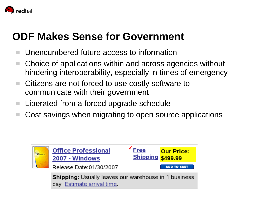

### **ODF Makes Sense for Government**

- Unencumbered future access to information
- Choice of applications within and across agencies without hindering interoperability, especially in times of emergency
- T. Citizens are not forced to use costly software to communicate with their government
- a. Liberated from a forced upgrade schedule
- Cost savings when migrating to open source applications

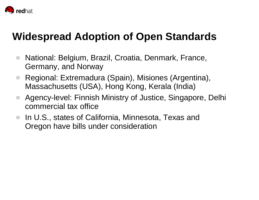

## **Widespread Adoption of Open Standards**

- $\mathcal{L}_{\mathcal{A}}$  National: Belgium, Brazil, Croatia, Denmark, France, Germany, and Norway
- **The**  Regional: Extremadura (Spain), Misiones (Argentina), Massachusetts (USA), Hong Kong, Kerala (India)
- **College**  Agency-level: Finnish Ministry of Justice, Singapore, Delhi commercial tax office
- $\mathcal{L}_{\mathcal{A}}$  In U.S., states of California, Minnesota, Texas and Oregon have bills under consideration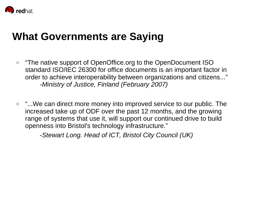

### **What Governments are Saying**

- $\blacksquare$  "The native support of OpenOffice.org to the OpenDocument ISO standard ISO/IEC 26300 for office documents is an important factor in order to achieve interoperability between organizations and citizens..." *-Ministry of Justice, Finland (February 2007)*
- "...We can direct more money into improved service to our public. The increased take up of ODF over the past 12 months, and the growing range of systems that use it, will support our continued drive to build openness into Bristol's technology infrastructure."

*-Stewart Long. Head of ICT, Bristol City Council (UK)*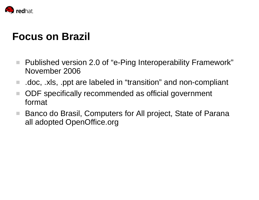

### **Focus on Brazil**

- $\mathcal{L}^{\mathcal{A}}$  Published version 2.0 of "e-Ping Interoperability Framework" November 2006
- $\mathcal{L}_{\mathcal{A}}$ .doc, .xls, .ppt are labeled in "transition" and non-compliant
- **COL**  ODF specifically recommended as official government format
- $\sim 10$  Banco do Brasil, Computers for All project, State of Parana all adopted OpenOffice.org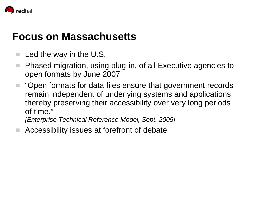

### **Focus on Massachusetts**

- × Led the way in the U.S.
- $\mathcal{L}_{\mathcal{A}}$  Phased migration, using plug-in, of all Executive agencies to open formats by June 2007
- $\blacksquare$  "Open formats for data files ensure that government records remain independent of underlying systems and applications thereby preserving their accessibility over very long periods of time."

*[Enterprise Technical Reference Model, Sept. 2005]*

Accessibility issues at forefront of debate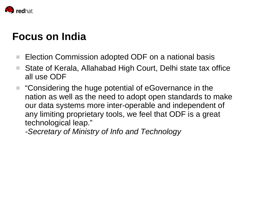

## **Focus on India**

- T. Election Commission adopted ODF on a national basis
- **COL**  State of Kerala, Allahabad High Court, Delhi state tax office all use ODF
- a a "Considering the huge potential of eGovernance in the nation as well as the need to adopt open standards to make our data systems more inter-operable and independent of any limiting proprietary tools, we feel that ODF is a great technological leap."

*-Secretary of Ministry of Info and Technology*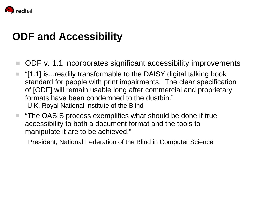

### **ODF and Accessibility**

- $\mathcal{L}_{\mathcal{A}}$ ODF v. 1.1 incorporates significant accessibility improvements
- "[1.1] is...readily transformable to the DAISY digital talking book standard for people with print impairments. The clear specification of [ODF] will remain usable long after commercial and proprietary formats have been condemned to the dustbin." -U.K. Royal National Institute of the Blind
- a a "The OASIS process exemplifies what should be done if true accessibility to both a document format and the tools to manipulate it are to be achieved."

President, National Federation of the Blind in Computer Science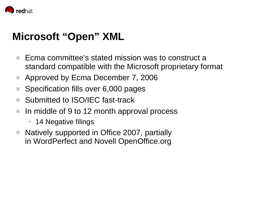

## **Microsoft "Open" XML**

- Ecma committee's stated mission was to construct a standard compatible with the Microsoft proprietary format
- . Approved by Ecma December 7, 2006
- **TI** Specification fills over 6,000 pages
- a. Submitted to ISO/IEC fast-track
- $\mathcal{L}_{\mathcal{A}}$  In middle of 9 to 12 month approval process
	- $\bullet$ 14 Negative filings
- **COL**  Natively supported in Office 2007, partially in WordPerfect and Novell OpenOffice.org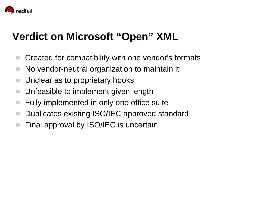

# **Verdict on Microsoft "Open" XML**

- Created for compatibility with one vendor's formats
- **I** No vendor-neutral organization to maintain it
- $\mathcal{L}_{\mathcal{A}}$ Unclear as to proprietary hooks
- **I** Unfeasible to implement given length
- $\mathcal{L}_{\mathcal{A}}$ Fully implemented in only one office suite
- a. Duplicates existing ISO/IEC approved standard
- $\mathcal{L}_{\mathcal{A}}$ Final approval by ISO/IEC is uncertain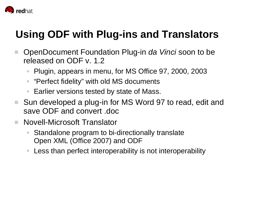

# **Using ODF with Plug-ins and Translators**

- $\mathcal{L}_{\mathcal{A}}$  OpenDocument Foundation Plug-in *da Vinci* soon to be released on ODF v. 1.2
	- ●Plugin, appears in menu, for MS Office 97, 2000, 2003
	- $\bullet$ "Perfect fidelity" with old MS documents
	- ●Earlier versions tested by state of Mass.
- Sun developed a plug-in for MS Word 97 to read, edit and save ODF and convert .doc
- $\overline{\phantom{a}}$  Novell-Microsoft Translator
	- ● Standalone program to bi-directionally translate Open XML (Office 2007) and ODF
	- $\bullet$ Less than perfect interoperability is not interoperability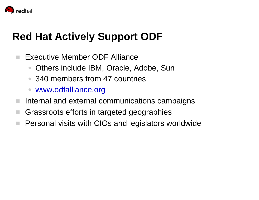

## **Red Hat Actively Support ODF**

- $\mathcal{L}_{\mathcal{A}}$  Executive Member ODF Alliance
	- $\bullet$ Others include IBM, Oracle, Adobe, Sun
	- 340 members from 47 countries
	- $\bullet$ www.odfalliance.org
- × Internal and external communications campaigns
- $\mathcal{L}_{\mathcal{A}}$ Grassroots efforts in targeted geographies
- $\mathcal{L}_{\mathcal{A}}$ Personal visits with CIOs and legislators worldwide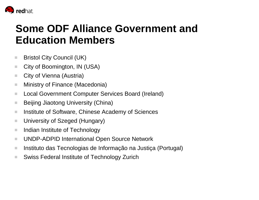

# **Some ODF Alliance Government and Education Members**

- ٠ Bristol City Council (UK)
- п City of Boomington, IN (USA)
- ٠ City of Vienna (Austria)
- ш Ministry of Finance (Macedonia)
- п Local Government Computer Services Board (Ireland)
- ٠ Beijing Jiaotong University (China)
- ٠ Institute of Software, Chinese Academy of Sciences
- ٠ University of Szeged (Hungary)
- ш Indian Institute of Technology
- ш UNDP-ADPID International Open Source Network
- ш Instituto das Tecnologias de Informação na Justiça (Portugal)
- $\mathcal{L}_{\mathcal{A}}$ Swiss Federal Institute of Technology Zurich